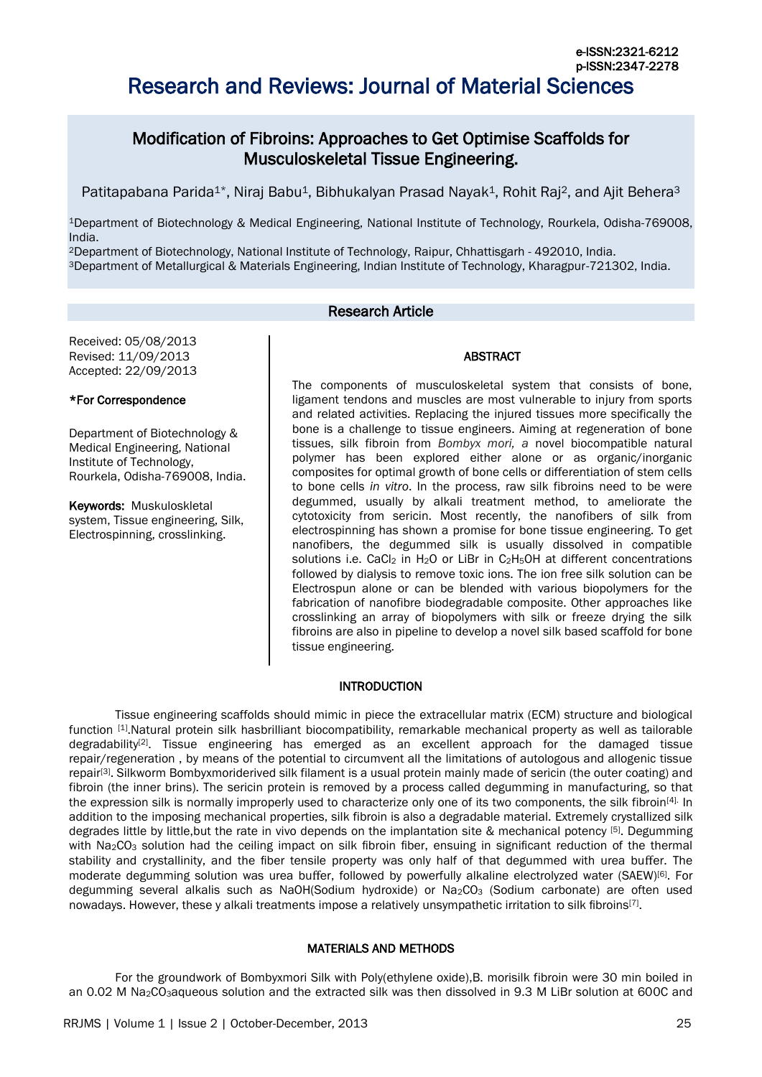# Research and Reviews: Journal of Material Sciences

# Modification of Fibroins: Approaches to Get Optimise Scaffolds for Musculoskeletal Tissue Engineering.

Patitapabana Parida<sup>1\*</sup>, Niraj Babu<sup>1</sup>, Bibhukalyan Prasad Nayak<sup>1</sup>, Rohit Raj<sup>2</sup>, and Ajit Behera<sup>3</sup>

<sup>1</sup>Department of Biotechnology & Medical Engineering, National Institute of Technology, Rourkela, Odisha-769008, India.

<sup>2</sup>Department of Biotechnology, National Institute of Technology, Raipur, Chhattisgarh - 492010, India. <sup>3</sup>Department of Metallurgical & Materials Engineering, Indian Institute of Technology, Kharagpur-721302, India.

## Research Article

Received: 05/08/2013 Revised: 11/09/2013 Accepted: 22/09/2013

#### \*For Correspondence

Department of Biotechnology & Medical Engineering, National Institute of Technology, Rourkela, Odisha-769008, India.

Keywords: Muskuloskletal system, Tissue engineering, Silk, Electrospinning, crosslinking.

The components of musculoskeletal system that consists of bone, ligament tendons and muscles are most vulnerable to injury from sports and related activities. Replacing the injured tissues more specifically the bone is a challenge to tissue engineers. Aiming at regeneration of bone tissues, silk fibroin from *Bombyx mori, a* novel biocompatible natural polymer has been explored either alone or as organic/inorganic composites for optimal growth of bone cells or differentiation of stem cells to bone cells *in vitro*. In the process, raw silk fibroins need to be were degummed, usually by alkali treatment method, to ameliorate the cytotoxicity from sericin. Most recently, the nanofibers of silk from electrospinning has shown a promise for bone tissue engineering. To get nanofibers, the degummed silk is usually dissolved in compatible solutions i.e. CaCl<sub>2</sub> in H<sub>2</sub>O or LiBr in C<sub>2</sub>H<sub>5</sub>OH at different concentrations followed by dialysis to remove toxic ions. The ion free silk solution can be Electrospun alone or can be blended with various biopolymers for the fabrication of nanofibre biodegradable composite. Other approaches like crosslinking an array of biopolymers with silk or freeze drying the silk fibroins are also in pipeline to develop a novel silk based scaffold for bone tissue engineering.

ABSTRACT

#### INTRODUCTION

Tissue engineering scaffolds should mimic in piece the extracellular matrix (ECM) structure and biological function [\[1\]](#page-4-0).Natural protein silk hasbrilliant biocompatibility, remarkable mechanical property as well as tailorable degradability<sup>[\[2\]](#page-4-1)</sup>. Tissue engineering has emerged as an excellent approach for the damaged tissue repair/regeneration , by means of the potential to circumvent all the limitations of autologous and allogenic tissue repair<sup>[\[3\]](#page-4-2)</sup>. Silkworm Bombyxmoriderived silk filament is a usual protein mainly made of sericin (the outer coating) and fibroin (the inner brins). The sericin protein is removed by a process called degumming in manufacturing, so that the expression silk is normally improperly used to characterize only one of its two components, the silk fibroin<sup>[\[4\].](#page-4-3)</sup> In addition to the imposing mechanical properties, silk fibroin is also a degradable material. Extremely crystallized silk degrades little by little, but the rate in vivo depends on the implantation site & mechanical potency [\[5\]](#page-4-4). Degumming with Na<sub>2</sub>CO<sub>3</sub> solution had the ceiling impact on silk fibroin fiber, ensuing in significant reduction of the thermal stability and crystallinity, and the fiber tensile property was only half of that degummed with urea buffer. The moderate degumming solution was urea buffer, followed by powerfully alkaline electrolyzed water (SAEW)[\[6\]](#page-5-0) . For degumming several alkalis such as NaOH(Sodium hydroxide) or Na<sub>2</sub>CO<sub>3</sub> (Sodium carbonate) are often used nowadays. However, these y alkali treatments impose a relatively unsympathetic irritation to silk fibroins<sup>[\[7\]](#page-5-1)</sup>.

#### MATERIALS AND METHODS

For the groundwork of Bombyxmori Silk with Poly(ethylene oxide),B. morisilk fibroin were 30 min boiled in an 0.02 M Na<sub>2</sub>CO<sub>3</sub>aqueous solution and the extracted silk was then dissolved in 9.3 M LiBr solution at 600C and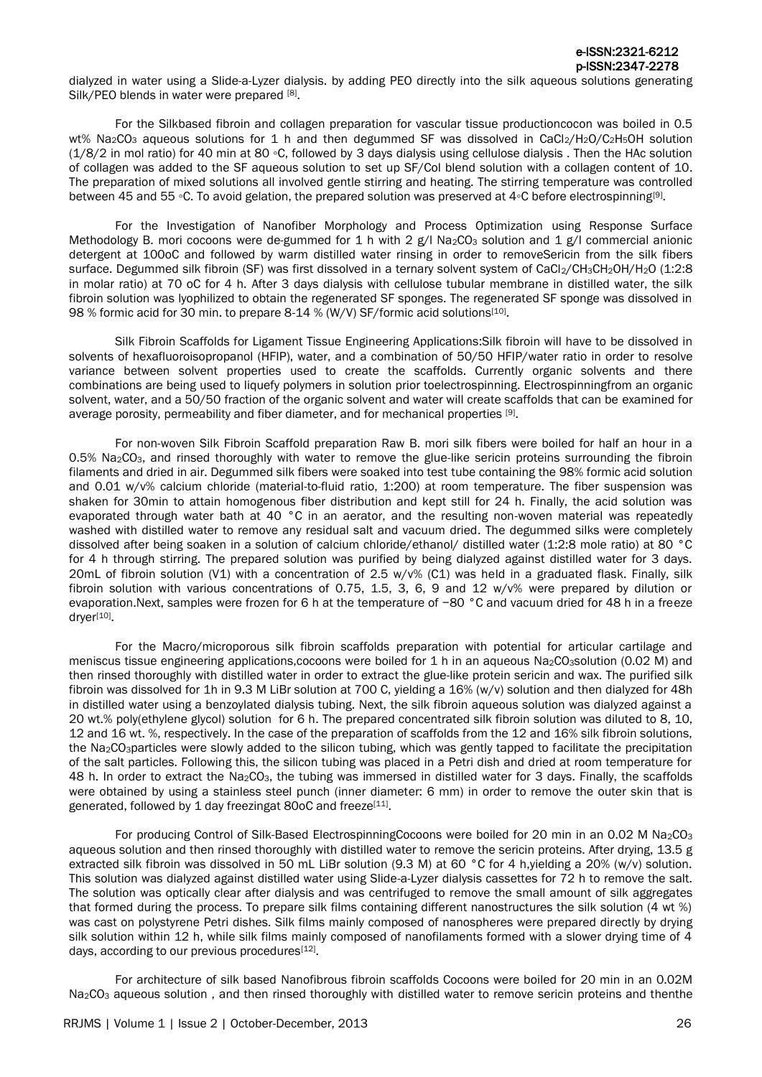dialyzed in water using a Slide-a-Lyzer dialysis. by adding PEO directly into the silk aqueous solutions generating Silk/PEO blends in water were prepared [\[8\]](#page-5-2).

For the Silkbased fibroin and collagen preparation for vascular tissue productioncocon was boiled in 0.5 wt% Na<sub>2</sub>CO<sub>3</sub> aqueous solutions for 1 h and then degummed SF was dissolved in CaCl<sub>2</sub>/H<sub>2</sub>O/C<sub>2</sub>H<sub>5</sub>OH solution (1/8/2 in mol ratio) for 40 min at 80 ◦C, followed by 3 days dialysis using cellulose dialysis . Then the HAc solution of collagen was added to the SF aqueous solution to set up SF/Col blend solution with a collagen content of 10. The preparation of mixed solutions all involved gentle stirring and heating. The stirring temperature was controlled between 45 and 55 ∘C. To avoid gelation, the prepared solution was preserved at 4∘C before electrospinning<sup>[\[9\]](#page-5-3)</sup>.

For the Investigation of Nanofiber Morphology and Process Optimization using Response Surface Methodology B. mori cocoons were de-gummed for 1 h with 2  $g/$  Na<sub>2</sub>CO<sub>3</sub> solution and 1  $g/$  commercial anionic detergent at 100oC and followed by warm distilled water rinsing in order to removeSericin from the silk fibers surface. Degummed silk fibroin (SF) was first dissolved in a ternary solvent system of CaCl<sub>2</sub>/CH<sub>3</sub>CH<sub>2</sub>OH/H<sub>2</sub>O (1:2:8) in molar ratio) at 70 oC for 4 h. After 3 days dialysis with cellulose tubular membrane in distilled water, the silk fibroin solution was lyophilized to obtain the regenerated SF sponges. The regenerated SF sponge was dissolved in 98 % formic acid for 30 min. to prepare 8-14 % (W/V) SF/formic acid solutions<sup>[\[10\]](#page-5-4)</sup>.

Silk Fibroin Scaffolds for Ligament Tissue Engineering Applications:Silk fibroin will have to be dissolved in solvents of hexafluoroisopropanol (HFIP), water, and a combination of 50/50 HFIP/water ratio in order to resolve variance between solvent properties used to create the scaffolds. Currently organic solvents and there combinations are being used to liquefy polymers in solution prior toelectrospinning. Electrospinningfrom an organic solvent, water, and a 50/50 fraction of the organic solvent and water will create scaffolds that can be examined for average porosity, permeability and fiber diameter, and for mechanical properties [\[9\]](#page-5-3).

For non-woven Silk Fibroin Scaffold preparation Raw B. mori silk fibers were boiled for half an hour in a 0.5% Na<sub>2</sub>CO<sub>3</sub>, and rinsed thoroughly with water to remove the glue-like sericin proteins surrounding the fibroin filaments and dried in air. Degummed silk fibers were soaked into test tube containing the 98% formic acid solution and 0.01 w/v% calcium chloride (material-to-fluid ratio, 1:200) at room temperature. The fiber suspension was shaken for 30min to attain homogenous fiber distribution and kept still for 24 h. Finally, the acid solution was evaporated through water bath at 40 °C in an aerator, and the resulting non-woven material was repeatedly washed with distilled water to remove any residual salt and vacuum dried. The degummed silks were completely dissolved after being soaken in a solution of calcium chloride/ethanol/ distilled water (1:2:8 mole ratio) at 80 °C for 4 h through stirring. The prepared solution was purified by being dialyzed against distilled water for 3 days. 20mL of fibroin solution (V1) with a concentration of 2.5 w/v% (C1) was held in a graduated flask. Finally, silk fibroin solution with various concentrations of 0.75, 1.5, 3, 6, 9 and 12 w/v% were prepared by dilution or evaporation.Next, samples were frozen for 6 h at the temperature of −80 °C and vacuum dried for 48 h in a freeze dryer[\[10\]](#page-5-4).

For the Macro/microporous silk fibroin scaffolds preparation with potential for articular cartilage and meniscus tissue engineering applications,cocoons were boiled for 1 h in an aqueous Na2CO3solution (0.02 M) and then rinsed thoroughly with distilled water in order to extract the glue-like protein sericin and wax. The purified silk fibroin was dissolved for 1h in 9.3 M LiBr solution at 700 C, yielding a 16% (w/v) solution and then dialyzed for 48h in distilled water using a benzoylated dialysis tubing. Next, the silk fibroin aqueous solution was dialyzed against a 20 wt.% poly(ethylene glycol) solution for 6 h. The prepared concentrated silk fibroin solution was diluted to 8, 10, 12 and 16 wt. %, respectively. In the case of the preparation of scaffolds from the 12 and 16% silk fibroin solutions, the Na2CO3particles were slowly added to the silicon tubing, which was gently tapped to facilitate the precipitation of the salt particles. Following this, the silicon tubing was placed in a Petri dish and dried at room temperature for 48 h. In order to extract the Na<sub>2</sub>CO<sub>3</sub>, the tubing was immersed in distilled water for 3 days. Finally, the scaffolds were obtained by using a stainless steel punch (inner diameter: 6 mm) in order to remove the outer skin that is generated, followed by 1 day freezingat 80oC and freeze<sup>[\[11\]](#page-5-5)</sup>.

For producing Control of Silk-Based ElectrospinningCocoons were boiled for 20 min in an 0.02 M Na<sub>2</sub>CO<sub>3</sub> aqueous solution and then rinsed thoroughly with distilled water to remove the sericin proteins. After drying, 13.5 g extracted silk fibroin was dissolved in 50 mL LiBr solution (9.3 M) at 60 °C for 4 h,yielding a 20% (w/v) solution. This solution was dialyzed against distilled water using Slide-a-Lyzer dialysis cassettes for 72 h to remove the salt. The solution was optically clear after dialysis and was centrifuged to remove the small amount of silk aggregates that formed during the process. To prepare silk films containing different nanostructures the silk solution (4 wt %) was cast on polystyrene Petri dishes. Silk films mainly composed of nanospheres were prepared directly by drying silk solution within 12 h, while silk films mainly composed of nanofilaments formed with a slower drying time of 4 days, according to our previous procedures<sup>[\[12\]](#page-5-6)</sup>.

For architecture of silk based Nanofibrous fibroin scaffolds Cocoons were boiled for 20 min in an 0.02M Na<sub>2</sub>CO<sub>3</sub> aqueous solution, and then rinsed thoroughly with distilled water to remove sericin proteins and thenthe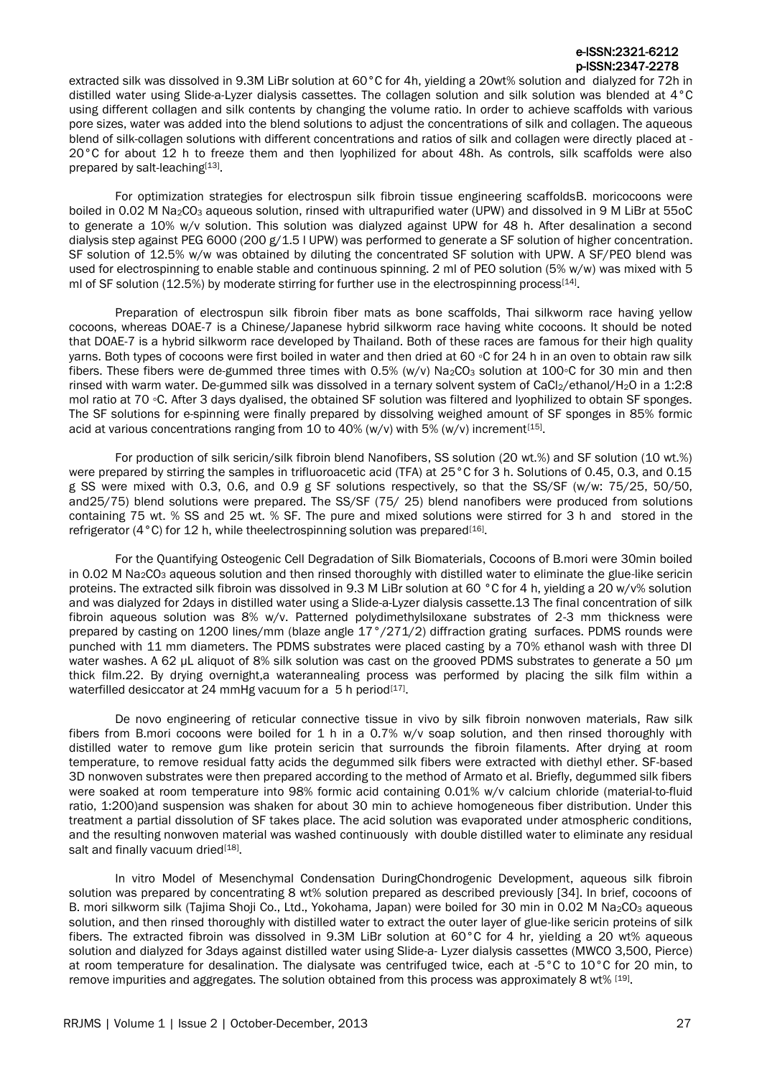extracted silk was dissolved in 9.3M LiBr solution at 60°C for 4h, yielding a 20wt% solution and dialyzed for 72h in distilled water using Slide-a-Lyzer dialysis cassettes. The collagen solution and silk solution was blended at 4°C using different collagen and silk contents by changing the volume ratio. In order to achieve scaffolds with various pore sizes, water was added into the blend solutions to adjust the concentrations of silk and collagen. The aqueous blend of silk-collagen solutions with different concentrations and ratios of silk and collagen were directly placed at - 20°C for about 12 h to freeze them and then lyophilized for about 48h. As controls, silk scaffolds were also prepared by salt-leaching[\[13\]](#page-5-7).

For optimization strategies for electrospun silk fibroin tissue engineering scaffoldsB. moricocoons were boiled in 0.02 M Na<sub>2</sub>CO<sub>3</sub> aqueous solution, rinsed with ultrapurified water (UPW) and dissolved in 9 M LiBr at 55oC to generate a 10% w/v solution. This solution was dialyzed against UPW for 48 h. After desalination a second dialysis step against PEG 6000 (200 g/1.5 l UPW) was performed to generate a SF solution of higher concentration. SF solution of 12.5% w/w was obtained by diluting the concentrated SF solution with UPW. A SF/PEO blend was used for electrospinning to enable stable and continuous spinning. 2 ml of PEO solution (5% w/w) was mixed with 5 ml of SF solution (12.5%) by moderate stirring for further use in the electrospinning process<sup>[\[14\]](#page-5-8)</sup>.

Preparation of electrospun silk fibroin fiber mats as bone scaffolds, Thai silkworm race having yellow cocoons, whereas DOAE-7 is a Chinese/Japanese hybrid silkworm race having white cocoons. It should be noted that DOAE-7 is a hybrid silkworm race developed by Thailand. Both of these races are famous for their high quality yarns. Both types of cocoons were first boiled in water and then dried at 60 ◦C for 24 h in an oven to obtain raw silk fibers. These fibers were de-gummed three times with 0.5% (w/v) Na<sub>2</sub>CO<sub>3</sub> solution at 100◦C for 30 min and then rinsed with warm water. De-gummed silk was dissolved in a ternary solvent system of CaCl<sub>2</sub>/ethanol/H<sub>2</sub>O in a 1:2:8 mol ratio at 70 ◦C. After 3 days dyalised, the obtained SF solution was filtered and lyophilized to obtain SF sponges. The SF solutions for e-spinning were finally prepared by dissolving weighed amount of SF sponges in 85% formic acid at various concentrations ranging from 10 to 40% (w/v) with 5% (w/v) increment<sup>[\[15\]](#page-5-9)</sup>.

For production of silk sericin/silk fibroin blend Nanofibers, SS solution (20 wt.%) and SF solution (10 wt.%) were prepared by stirring the samples in trifluoroacetic acid (TFA) at 25°C for 3 h. Solutions of 0.45, 0.3, and 0.15 g SS were mixed with 0.3, 0.6, and 0.9 g SF solutions respectively, so that the SS/SF (w/w: 75/25, 50/50, and25/75) blend solutions were prepared. The SS/SF (75/ 25) blend nanofibers were produced from solutions containing 75 wt. % SS and 25 wt. % SF. The pure and mixed solutions were stirred for 3 h and stored in the refrigerator (4°C) for 12 h, while theelectrospinning solution was prepared<sup>[\[16\]](#page-5-10)</sup>.

For the Quantifying Osteogenic Cell Degradation of Silk Biomaterials, Cocoons of B.mori were 30min boiled in 0.02 M Na<sub>2</sub>CO<sub>3</sub> aqueous solution and then rinsed thoroughly with distilled water to eliminate the glue-like sericin proteins. The extracted silk fibroin was dissolved in 9.3 M LiBr solution at 60 °C for 4 h, yielding a 20 w/v% solution and was dialyzed for 2days in distilled water using a Slide-a-Lyzer dialysis cassette.13 The final concentration of silk fibroin aqueous solution was 8% w/v. Patterned polydimethylsiloxane substrates of 2-3 mm thickness were prepared by casting on 1200 lines/mm (blaze angle 17°/271/2) diffraction grating surfaces. PDMS rounds were punched with 11 mm diameters. The PDMS substrates were placed casting by a 70% ethanol wash with three DI water washes. A 62 µL aliquot of 8% silk solution was cast on the grooved PDMS substrates to generate a 50 µm thick film.22. By drying overnight,a waterannealing process was performed by placing the silk film within a waterfilled desiccator at 24 mmHg vacuum for a 5 h period<sup>[\[17\]](#page-5-11)</sup>.

De novo engineering of reticular connective tissue in vivo by silk fibroin nonwoven materials, Raw silk fibers from B.mori cocoons were boiled for 1 h in a 0.7% w/v soap solution, and then rinsed thoroughly with distilled water to remove gum like protein sericin that surrounds the fibroin filaments. After drying at room temperature, to remove residual fatty acids the degummed silk fibers were extracted with diethyl ether. SF-based 3D nonwoven substrates were then prepared according to the method of Armato et al. Briefly, degummed silk fibers were soaked at room temperature into 98% formic acid containing 0.01% w/v calcium chloride (material-to-fluid ratio, 1:200)and suspension was shaken for about 30 min to achieve homogeneous fiber distribution. Under this treatment a partial dissolution of SF takes place. The acid solution was evaporated under atmospheric conditions, and the resulting nonwoven material was washed continuously with double distilled water to eliminate any residual salt and finally vacuum dried[\[18\]](#page-5-12).

In vitro Model of Mesenchymal Condensation DuringChondrogenic Development, aqueous silk fibroin solution was prepared by concentrating 8 wt% solution prepared as described previously [34]. In brief, cocoons of B. mori silkworm silk (Tajima Shoji Co., Ltd., Yokohama, Japan) were boiled for 30 min in 0.02 M Na2CO<sub>3</sub> aqueous solution, and then rinsed thoroughly with distilled water to extract the outer layer of glue-like sericin proteins of silk fibers. The extracted fibroin was dissolved in 9.3M LiBr solution at 60°C for 4 hr, yielding a 20 wt% aqueous solution and dialyzed for 3days against distilled water using Slide-a- Lyzer dialysis cassettes (MWCO 3,500, Pierce) at room temperature for desalination. The dialysate was centrifuged twice, each at -5°C to 10°C for 20 min, to remove impurities and aggregates. The solution obtained from this process was approximately 8 wt% [\[19\]](#page-5-13).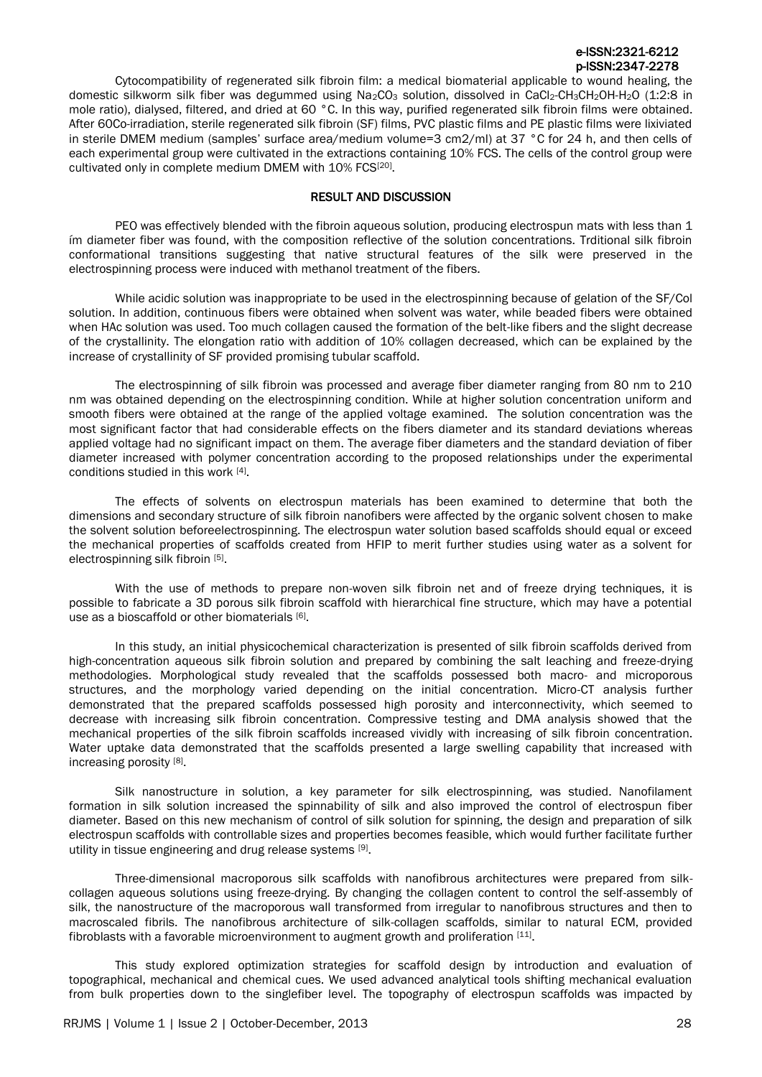Cytocompatibility of regenerated silk fibroin film: a medical biomaterial applicable to wound healing, the domestic silkworm silk fiber was degummed using Na<sub>2</sub>CO<sub>3</sub> solution, dissolved in CaCl<sub>2</sub>-CH<sub>3</sub>CH<sub>2</sub>OH-H<sub>2</sub>O (1:2:8 in mole ratio), dialysed, filtered, and dried at 60 °C. In this way, purified regenerated silk fibroin films were obtained. After 60Co-irradiation, sterile regenerated silk fibroin (SF) films, PVC plastic films and PE plastic films were lixiviated in sterile DMEM medium (samples' surface area/medium volume=3 cm2/ml) at 37 °C for 24 h, and then cells of each experimental group were cultivated in the extractions containing 10% FCS. The cells of the control group were cultivated only in complete medium DMEM with 10% FCS<sup>[\[20\]](#page-5-14)</sup>.

#### RESULT AND DISCUSSION

PEO was effectively blended with the fibroin aqueous solution, producing electrospun mats with less than 1 ím diameter fiber was found, with the composition reflective of the solution concentrations. Trditional silk fibroin conformational transitions suggesting that native structural features of the silk were preserved in the electrospinning process were induced with methanol treatment of the fibers.

While acidic solution was inappropriate to be used in the electrospinning because of gelation of the SF/Col solution. In addition, continuous fibers were obtained when solvent was water, while beaded fibers were obtained when HAc solution was used. Too much collagen caused the formation of the belt-like fibers and the slight decrease of the crystallinity. The elongation ratio with addition of 10% collagen decreased, which can be explained by the increase of crystallinity of SF provided promising tubular scaffold.

The electrospinning of silk fibroin was processed and average fiber diameter ranging from 80 nm to 210 nm was obtained depending on the electrospinning condition. While at higher solution concentration uniform and smooth fibers were obtained at the range of the applied voltage examined. The solution concentration was the most significant factor that had considerable effects on the fibers diameter and its standard deviations whereas applied voltage had no significant impact on them. The average fiber diameters and the standard deviation of fiber diameter increased with polymer concentration according to the proposed relationships under the experimental conditions studied in this work [4].

The effects of solvents on electrospun materials has been examined to determine that both the dimensions and secondary structure of silk fibroin nanofibers were affected by the organic solvent chosen to make the solvent solution beforeelectrospinning. The electrospun water solution based scaffolds should equal or exceed the mechanical properties of scaffolds created from HFIP to merit further studies using water as a solvent for electrospinning silk fibroin [5].

With the use of methods to prepare non-woven silk fibroin net and of freeze drying techniques, it is possible to fabricate a 3D porous silk fibroin scaffold with hierarchical fine structure, which may have a potential use as a bioscaffold or other biomaterials [6].

In this study, an initial physicochemical characterization is presented of silk fibroin scaffolds derived from high-concentration aqueous silk fibroin solution and prepared by combining the salt leaching and freeze-drying methodologies. Morphological study revealed that the scaffolds possessed both macro- and microporous structures, and the morphology varied depending on the initial concentration. Micro-CT analysis further demonstrated that the prepared scaffolds possessed high porosity and interconnectivity, which seemed to decrease with increasing silk fibroin concentration. Compressive testing and DMA analysis showed that the mechanical properties of the silk fibroin scaffolds increased vividly with increasing of silk fibroin concentration. Water uptake data demonstrated that the scaffolds presented a large swelling capability that increased with increasing porosity [8].

Silk nanostructure in solution, a key parameter for silk electrospinning, was studied. Nanofilament formation in silk solution increased the spinnability of silk and also improved the control of electrospun fiber diameter. Based on this new mechanism of control of silk solution for spinning, the design and preparation of silk electrospun scaffolds with controllable sizes and properties becomes feasible, which would further facilitate further utility in tissue engineering and drug release systems [9].

Three-dimensional macroporous silk scaffolds with nanofibrous architectures were prepared from silkcollagen aqueous solutions using freeze-drying. By changing the collagen content to control the self-assembly of silk, the nanostructure of the macroporous wall transformed from irregular to nanofibrous structures and then to macroscaled fibrils. The nanofibrous architecture of silk-collagen scaffolds, similar to natural ECM, provided fibroblasts with a favorable microenvironment to augment growth and proliferation [11].

This study explored optimization strategies for scaffold design by introduction and evaluation of topographical, mechanical and chemical cues. We used advanced analytical tools shifting mechanical evaluation from bulk properties down to the singlefiber level. The topography of electrospun scaffolds was impacted by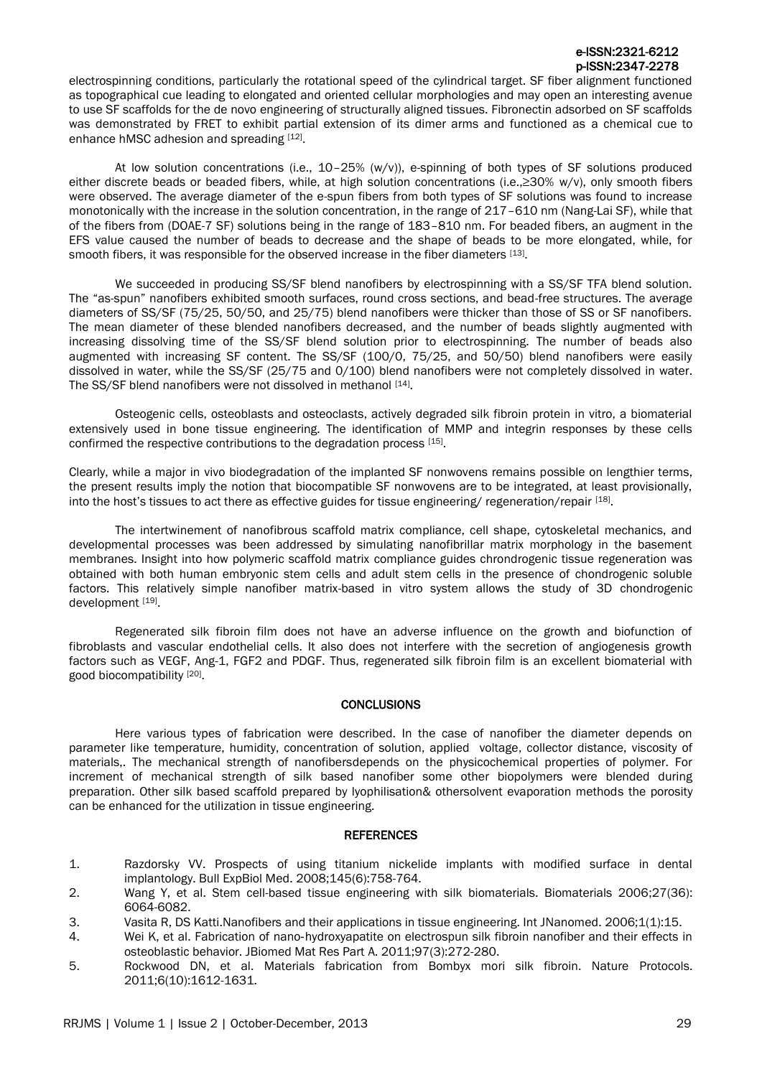electrospinning conditions, particularly the rotational speed of the cylindrical target. SF fiber alignment functioned as topographical cue leading to elongated and oriented cellular morphologies and may open an interesting avenue to use SF scaffolds for the de novo engineering of structurally aligned tissues. Fibronectin adsorbed on SF scaffolds was demonstrated by FRET to exhibit partial extension of its dimer arms and functioned as a chemical cue to enhance hMSC adhesion and spreading [12].

At low solution concentrations (i.e., 10–25% (w/v)), e-spinning of both types of SF solutions produced either discrete beads or beaded fibers, while, at high solution concentrations (i.e.,≥30% w/v), only smooth fibers were observed. The average diameter of the e-spun fibers from both types of SF solutions was found to increase monotonically with the increase in the solution concentration, in the range of 217–610 nm (Nang-Lai SF), while that of the fibers from (DOAE-7 SF) solutions being in the range of 183–810 nm. For beaded fibers, an augment in the EFS value caused the number of beads to decrease and the shape of beads to be more elongated, while, for smooth fibers, it was responsible for the observed increase in the fiber diameters [13].

We succeeded in producing SS/SF blend nanofibers by electrospinning with a SS/SF TFA blend solution. The "as-spun" nanofibers exhibited smooth surfaces, round cross sections, and bead-free structures. The average diameters of SS/SF (75/25, 50/50, and 25/75) blend nanofibers were thicker than those of SS or SF nanofibers. The mean diameter of these blended nanofibers decreased, and the number of beads slightly augmented with increasing dissolving time of the SS/SF blend solution prior to electrospinning. The number of beads also augmented with increasing SF content. The SS/SF (100/0, 75/25, and 50/50) blend nanofibers were easily dissolved in water, while the SS/SF (25/75 and 0/100) blend nanofibers were not completely dissolved in water. The SS/SF blend nanofibers were not dissolved in methanol [14].

Osteogenic cells, osteoblasts and osteoclasts, actively degraded silk fibroin protein in vitro, a biomaterial extensively used in bone tissue engineering. The identification of MMP and integrin responses by these cells confirmed the respective contributions to the degradation process [15].

Clearly, while a major in vivo biodegradation of the implanted SF nonwovens remains possible on lengthier terms, the present results imply the notion that biocompatible SF nonwovens are to be integrated, at least provisionally, into the host's tissues to act there as effective guides for tissue engineering/ regeneration/repair [18].

The intertwinement of nanofibrous scaffold matrix compliance, cell shape, cytoskeletal mechanics, and developmental processes was been addressed by simulating nanofibrillar matrix morphology in the basement membranes. Insight into how polymeric scaffold matrix compliance guides chrondrogenic tissue regeneration was obtained with both human embryonic stem cells and adult stem cells in the presence of chondrogenic soluble factors. This relatively simple nanofiber matrix-based in vitro system allows the study of 3D chondrogenic development [19].

Regenerated silk fibroin film does not have an adverse influence on the growth and biofunction of fibroblasts and vascular endothelial cells. It also does not interfere with the secretion of angiogenesis growth factors such as VEGF, Ang-1, FGF2 and PDGF. Thus, regenerated silk fibroin film is an excellent biomaterial with good biocompatibility [20].

# **CONCLUSIONS**

Here various types of fabrication were described. In the case of nanofiber the diameter depends on parameter like temperature, humidity, concentration of solution, applied voltage, collector distance, viscosity of materials,. The mechanical strength of nanofibersdepends on the physicochemical properties of polymer. For increment of mechanical strength of silk based nanofiber some other biopolymers were blended during preparation. Other silk based scaffold prepared by lyophilisation& othersolvent evaporation methods the porosity can be enhanced for the utilization in tissue engineering.

#### **REFERENCES**

- <span id="page-4-0"></span>1. Razdorsky VV. Prospects of using titanium nickelide implants with modified surface in dental implantology. Bull ExpBiol Med. 2008;145(6):758-764.
- <span id="page-4-1"></span>2. Wang Y, et al. Stem cell-based tissue engineering with silk biomaterials. Biomaterials 2006;27(36): 6064-6082.
- <span id="page-4-2"></span>3. Vasita R, DS Katti.Nanofibers and their applications in tissue engineering. Int JNanomed. 2006;1(1):15.
- <span id="page-4-3"></span>4. Wei K, et al. Fabrication of nano‐hydroxyapatite on electrospun silk fibroin nanofiber and their effects in osteoblastic behavior. JBiomed Mat Res Part A. 2011;97(3):272-280.
- <span id="page-4-4"></span>5. Rockwood DN, et al. Materials fabrication from Bombyx mori silk fibroin. Nature Protocols. 2011;6(10):1612-1631.